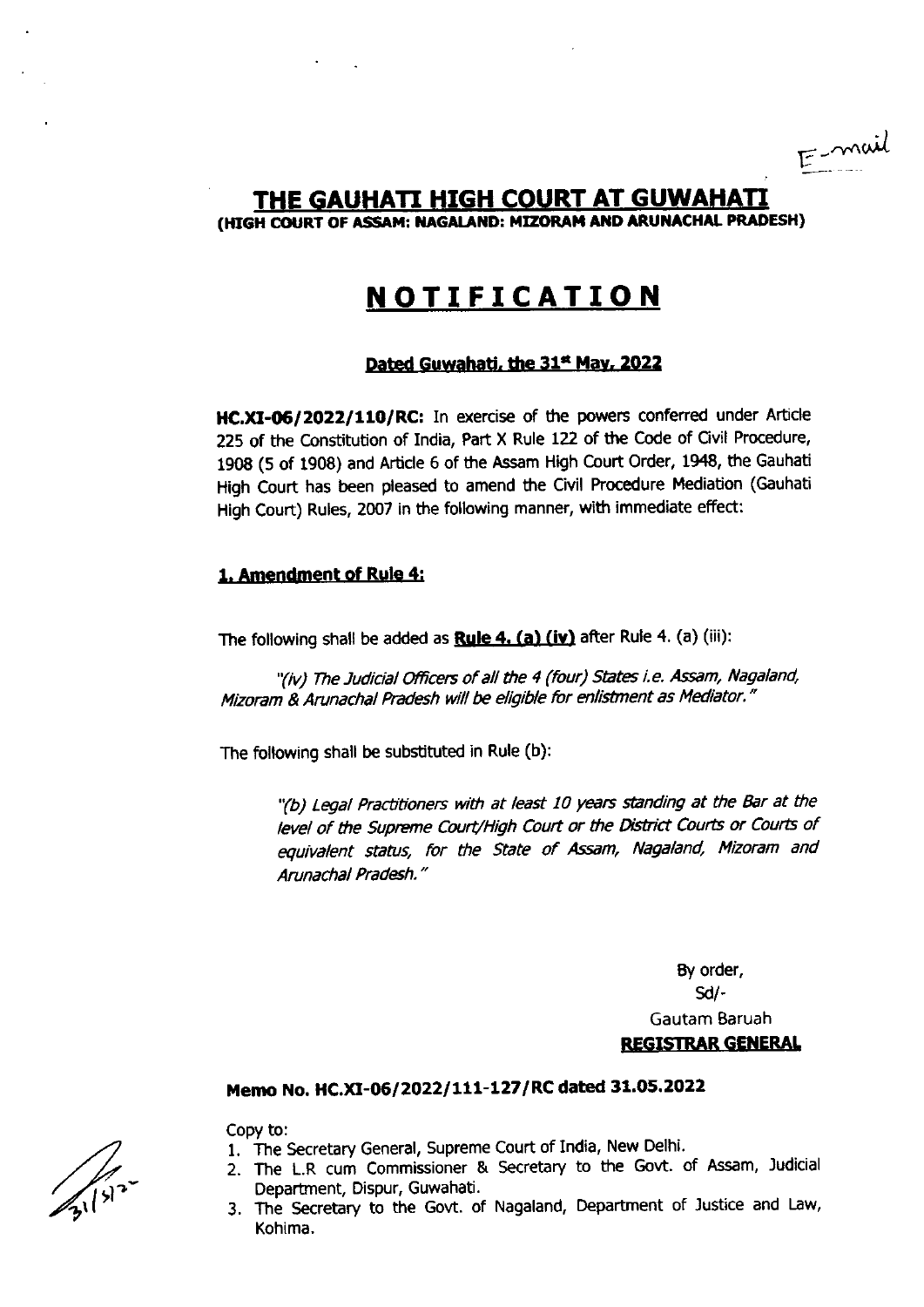$E$ -mail

# THE GAUHATI HIGH COURT AT GUWAHATI (HIGH COURT OF ASSAM: NAGALAND: MIZORAM AND ARUNACHAL PRADESH)

# **NOTIFICATION**

### Dated Guwahati, the 31<sup>st</sup> May, 2022

HC.XI-06/2022/110/RC: In exercise of the powers conferred under Article 225 of the Constitution of India, Part X Rule 122 of the Code of Civil Procedure, 1908 (5 of 1908) and Article 6 of the Assam High Court Order, 1948, the Gauhati High Court has been pleased to amend the Civil Procedure Mediation (Gauhati High Court) Rules, 2007 in the following manner, with immediate effect:

#### 1. Amendment of Rule 4:

The following shall be added as **Rule 4. (a) (iv)** after Rule 4. (a) (iii):

"(iv) The Judicial Officers of all the 4 (four) States i.e. Assam, Nagaland, Mizoram & Arunachal Pradesh will be eligible for enlistment as Mediator."

The following shall be substituted in Rule (b):

"(b) Legal Practitioners with at least 10 years standing at the Bar at the level of the Supreme Court/High Court or the District Courts or Courts of equivalent status, for the State of Assam, Nagaland, Mizoram and Arunachal Pradesh."

> By order,  $Sd$ -Gautam Baruah **REGISTRAR GENERAL**

## Memo No. HC.XI-06/2022/111-127/RC dated 31.05.2022

Copy to:

- 1. The Secretary General, Supreme Court of India, New Delhi.
- 2. The L.R cum Commissioner & Secretary to the Govt. of Assam, Judicial Department, Dispur, Guwahati.
- 3. The Secretary to the Govt. of Nagaland, Department of Justice and Law, Kohima.

 $\frac{1}{3}$